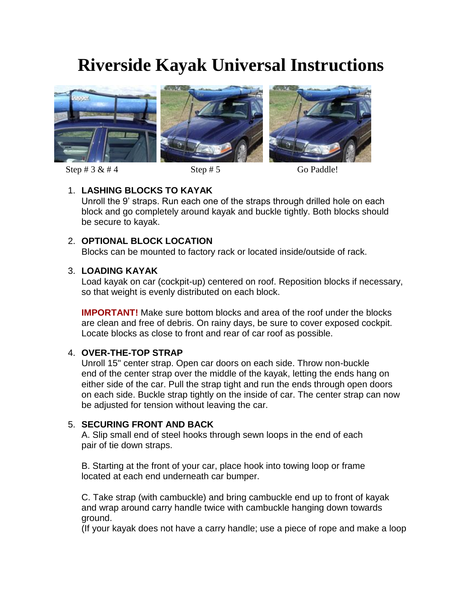# **Riverside Kayak Universal Instructions**



Step  $\# 3 \& \# 4$  Step  $\# 5$  Go Paddle!

# 1. **LASHING BLOCKS TO KAYAK**

Unroll the 9' straps. Run each one of the straps through drilled hole on each block and go completely around kayak and buckle tightly. Both blocks should be secure to kayak.

## 2. **OPTIONAL BLOCK LOCATION**

Blocks can be mounted to factory rack or located inside/outside of rack.

## 3. **LOADING KAYAK**

Load kayak on car (cockpit-up) centered on roof. Reposition blocks if necessary, so that weight is evenly distributed on each block.

**IMPORTANT!** Make sure bottom blocks and area of the roof under the blocks are clean and free of debris. On rainy days, be sure to cover exposed cockpit. Locate blocks as close to front and rear of car roof as possible.

## 4. **OVER-THE-TOP STRAP**

Unroll 15" center strap. Open car doors on each side. Throw non-buckle end of the center strap over the middle of the kayak, letting the ends hang on either side of the car. Pull the strap tight and run the ends through open doors on each side. Buckle strap tightly on the inside of car. The center strap can now be adjusted for tension without leaving the car.

## 5. **SECURING FRONT AND BACK**

A. Slip small end of steel hooks through sewn loops in the end of each pair of tie down straps.

B. Starting at the front of your car, place hook into towing loop or frame located at each end underneath car bumper.

C. Take strap (with cambuckle) and bring cambuckle end up to front of kayak and wrap around carry handle twice with cambuckle hanging down towards ground.

(If your kayak does not have a carry handle; use a piece of rope and make a loop